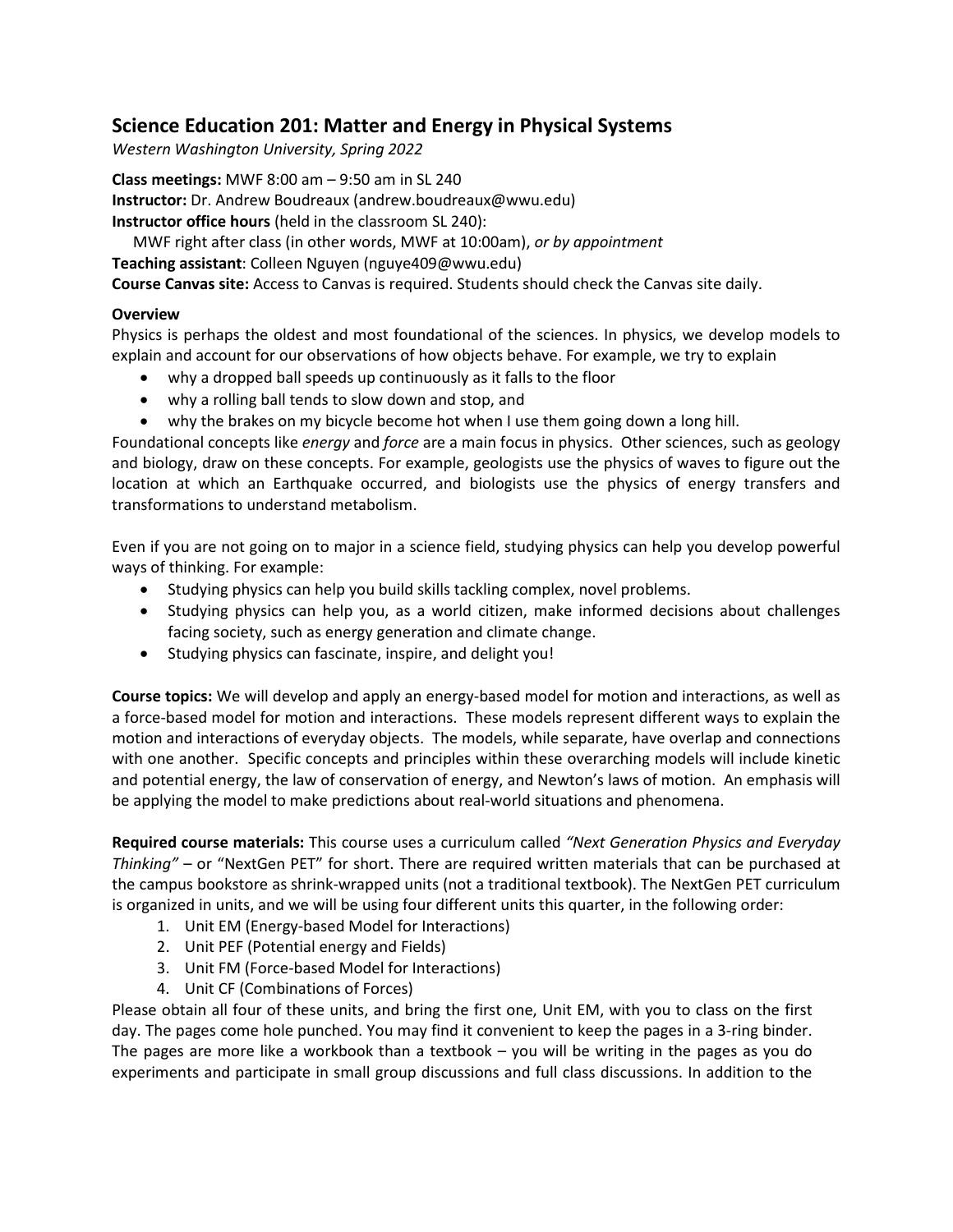# **Science Education 201: Matter and Energy in Physical Systems**

*Western Washington University, Spring 2022*

**Class meetings:** MWF 8:00 am – 9:50 am in SL 240 **Instructor:** Dr. Andrew Boudreaux (andrew.boudreaux@wwu.edu) **Instructor office hours** (held in the classroom SL 240):

MWF right after class (in other words, MWF at 10:00am), *or by appointment*

**Teaching assistant**: Colleen Nguyen (nguye409@wwu.edu)

**Course Canvas site:** Access to Canvas is required. Students should check the Canvas site daily.

## **Overview**

Physics is perhaps the oldest and most foundational of the sciences. In physics, we develop models to explain and account for our observations of how objects behave. For example, we try to explain

- why a dropped ball speeds up continuously as it falls to the floor
- why a rolling ball tends to slow down and stop, and
- why the brakes on my bicycle become hot when I use them going down a long hill.

Foundational concepts like *energy* and *force* are a main focus in physics. Other sciences, such as geology and biology, draw on these concepts. For example, geologists use the physics of waves to figure out the location at which an Earthquake occurred, and biologists use the physics of energy transfers and transformations to understand metabolism.

Even if you are not going on to major in a science field, studying physics can help you develop powerful ways of thinking. For example:

- Studying physics can help you build skills tackling complex, novel problems.
- Studying physics can help you, as a world citizen, make informed decisions about challenges facing society, such as energy generation and climate change.
- Studying physics can fascinate, inspire, and delight you!

**Course topics:** We will develop and apply an energy-based model for motion and interactions, as well as a force-based model for motion and interactions. These models represent different ways to explain the motion and interactions of everyday objects. The models, while separate, have overlap and connections with one another. Specific concepts and principles within these overarching models will include kinetic and potential energy, the law of conservation of energy, and Newton's laws of motion. An emphasis will be applying the model to make predictions about real-world situations and phenomena.

**Required course materials:** This course uses a curriculum called *"Next Generation Physics and Everyday Thinking"* – or "NextGen PET" for short. There are required written materials that can be purchased at the campus bookstore as shrink-wrapped units (not a traditional textbook). The NextGen PET curriculum is organized in units, and we will be using four different units this quarter, in the following order:

- 1. Unit EM (Energy-based Model for Interactions)
- 2. Unit PEF (Potential energy and Fields)
- 3. Unit FM (Force-based Model for Interactions)
- 4. Unit CF (Combinations of Forces)

Please obtain all four of these units, and bring the first one, Unit EM, with you to class on the first day. The pages come hole punched. You may find it convenient to keep the pages in a 3-ring binder. The pages are more like a workbook than a textbook – you will be writing in the pages as you do experiments and participate in small group discussions and full class discussions. In addition to the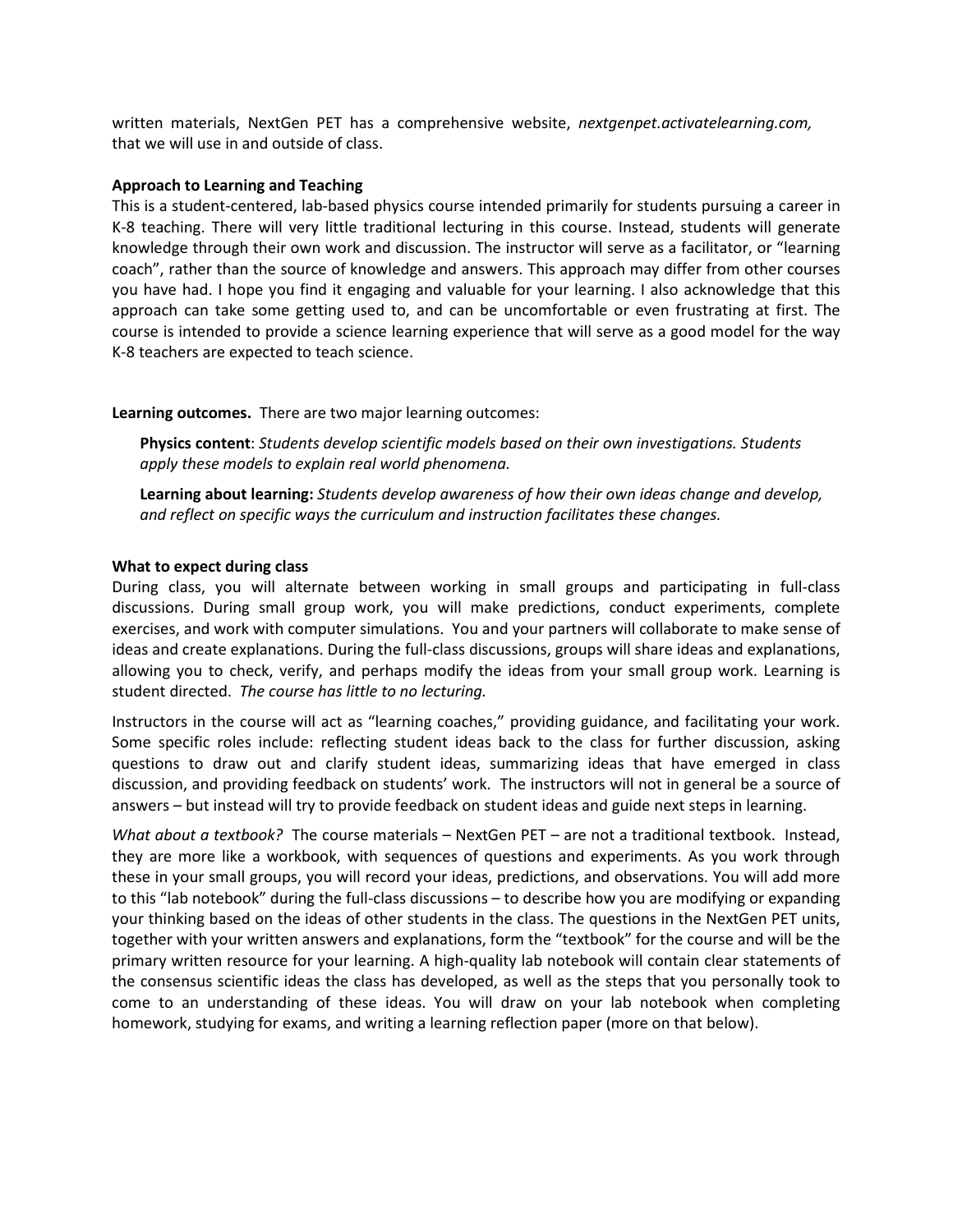written materials, NextGen PET has a comprehensive website, *nextgenpet.activatelearning.com,* that we will use in and outside of class.

#### **Approach to Learning and Teaching**

This is a student-centered, lab-based physics course intended primarily for students pursuing a career in K-8 teaching. There will very little traditional lecturing in this course. Instead, students will generate knowledge through their own work and discussion. The instructor will serve as a facilitator, or "learning coach", rather than the source of knowledge and answers. This approach may differ from other courses you have had. I hope you find it engaging and valuable for your learning. I also acknowledge that this approach can take some getting used to, and can be uncomfortable or even frustrating at first. The course is intended to provide a science learning experience that will serve as a good model for the way K-8 teachers are expected to teach science.

#### **Learning outcomes.** There are two major learning outcomes:

**Physics content**: *Students develop scientific models based on their own investigations. Students apply these models to explain real world phenomena.*

**Learning about learning:** *Students develop awareness of how their own ideas change and develop, and reflect on specific ways the curriculum and instruction facilitates these changes.*

#### **What to expect during class**

During class, you will alternate between working in small groups and participating in full-class discussions. During small group work, you will make predictions, conduct experiments, complete exercises, and work with computer simulations. You and your partners will collaborate to make sense of ideas and create explanations. During the full-class discussions, groups will share ideas and explanations, allowing you to check, verify, and perhaps modify the ideas from your small group work. Learning is student directed. *The course has little to no lecturing.*

Instructors in the course will act as "learning coaches," providing guidance, and facilitating your work. Some specific roles include: reflecting student ideas back to the class for further discussion, asking questions to draw out and clarify student ideas, summarizing ideas that have emerged in class discussion, and providing feedback on students' work. The instructors will not in general be a source of answers – but instead will try to provide feedback on student ideas and guide next steps in learning.

*What about a textbook?* The course materials – NextGen PET – are not a traditional textbook. Instead, they are more like a workbook, with sequences of questions and experiments. As you work through these in your small groups, you will record your ideas, predictions, and observations. You will add more to this "lab notebook" during the full-class discussions – to describe how you are modifying or expanding your thinking based on the ideas of other students in the class. The questions in the NextGen PET units, together with your written answers and explanations, form the "textbook" for the course and will be the primary written resource for your learning. A high-quality lab notebook will contain clear statements of the consensus scientific ideas the class has developed, as well as the steps that you personally took to come to an understanding of these ideas. You will draw on your lab notebook when completing homework, studying for exams, and writing a learning reflection paper (more on that below).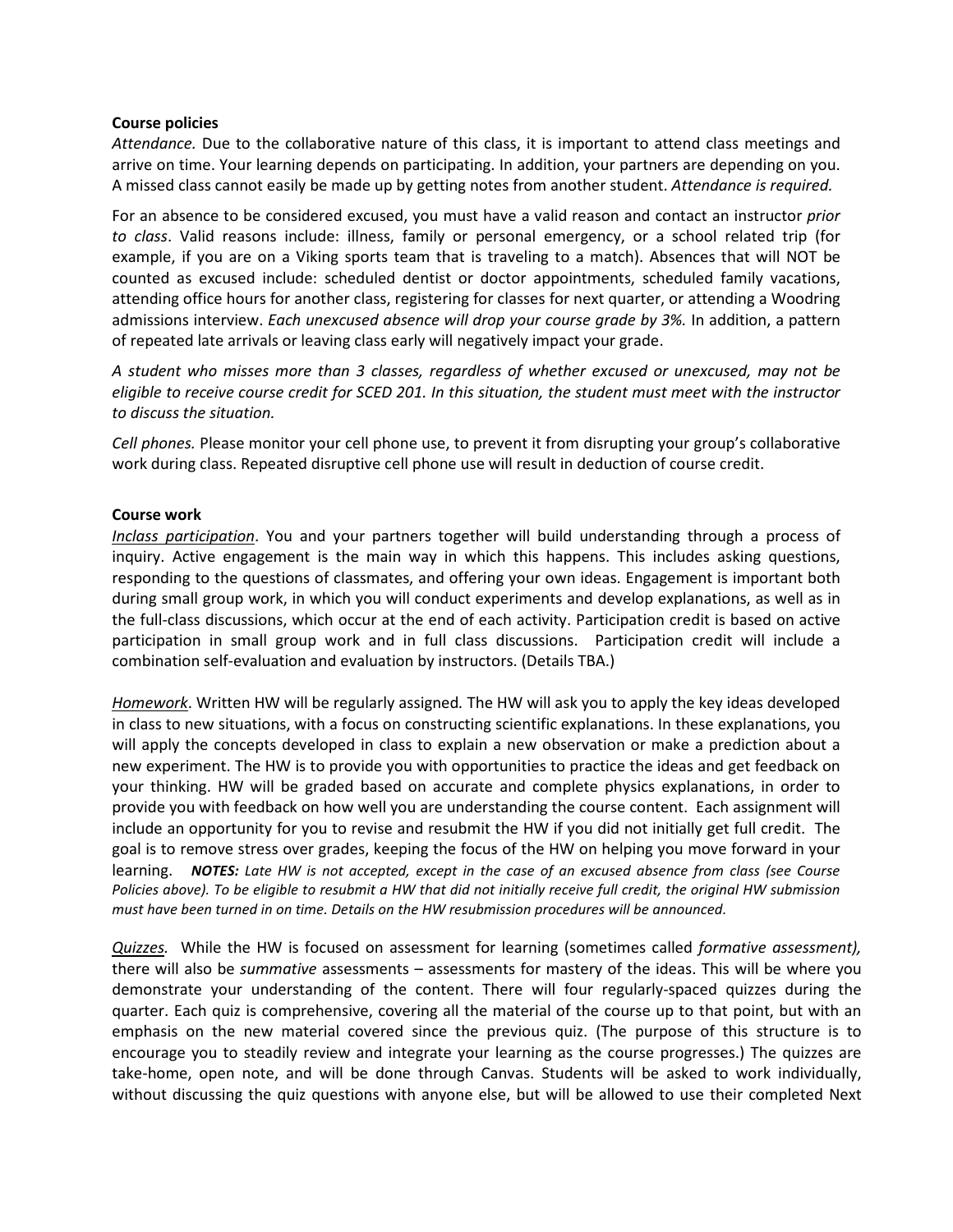#### **Course policies**

*Attendance.* Due to the collaborative nature of this class, it is important to attend class meetings and arrive on time. Your learning depends on participating. In addition, your partners are depending on you. A missed class cannot easily be made up by getting notes from another student. *Attendance is required.*

For an absence to be considered excused, you must have a valid reason and contact an instructor *prior to class*. Valid reasons include: illness, family or personal emergency, or a school related trip (for example, if you are on a Viking sports team that is traveling to a match). Absences that will NOT be counted as excused include: scheduled dentist or doctor appointments, scheduled family vacations, attending office hours for another class, registering for classes for next quarter, or attending a Woodring admissions interview. *Each unexcused absence will drop your course grade by 3%.* In addition, a pattern of repeated late arrivals or leaving class early will negatively impact your grade.

*A student who misses more than 3 classes, regardless of whether excused or unexcused, may not be eligible to receive course credit for SCED 201. In this situation, the student must meet with the instructor to discuss the situation.* 

*Cell phones.* Please monitor your cell phone use, to prevent it from disrupting your group's collaborative work during class. Repeated disruptive cell phone use will result in deduction of course credit.

### **Course work**

*Inclass participation*. You and your partners together will build understanding through a process of inquiry. Active engagement is the main way in which this happens. This includes asking questions, responding to the questions of classmates, and offering your own ideas. Engagement is important both during small group work, in which you will conduct experiments and develop explanations, as well as in the full-class discussions, which occur at the end of each activity. Participation credit is based on active participation in small group work and in full class discussions. Participation credit will include a combination self-evaluation and evaluation by instructors. (Details TBA.)

*Homework*. Written HW will be regularly assigned*.* The HW will ask you to apply the key ideas developed in class to new situations, with a focus on constructing scientific explanations. In these explanations, you will apply the concepts developed in class to explain a new observation or make a prediction about a new experiment. The HW is to provide you with opportunities to practice the ideas and get feedback on your thinking. HW will be graded based on accurate and complete physics explanations, in order to provide you with feedback on how well you are understanding the course content. Each assignment will include an opportunity for you to revise and resubmit the HW if you did not initially get full credit. The goal is to remove stress over grades, keeping the focus of the HW on helping you move forward in your learning. *NOTES: Late HW is not accepted, except in the case of an excused absence from class (see Course Policies above). To be eligible to resubmit a HW that did not initially receive full credit, the original HW submission must have been turned in on time. Details on the HW resubmission procedures will be announced.*

*Quizzes.* While the HW is focused on assessment for learning (sometimes called *formative assessment),*  there will also be *summative* assessments – assessments for mastery of the ideas. This will be where you demonstrate your understanding of the content. There will four regularly-spaced quizzes during the quarter. Each quiz is comprehensive, covering all the material of the course up to that point, but with an emphasis on the new material covered since the previous quiz. (The purpose of this structure is to encourage you to steadily review and integrate your learning as the course progresses.) The quizzes are take-home, open note, and will be done through Canvas. Students will be asked to work individually, without discussing the quiz questions with anyone else, but will be allowed to use their completed Next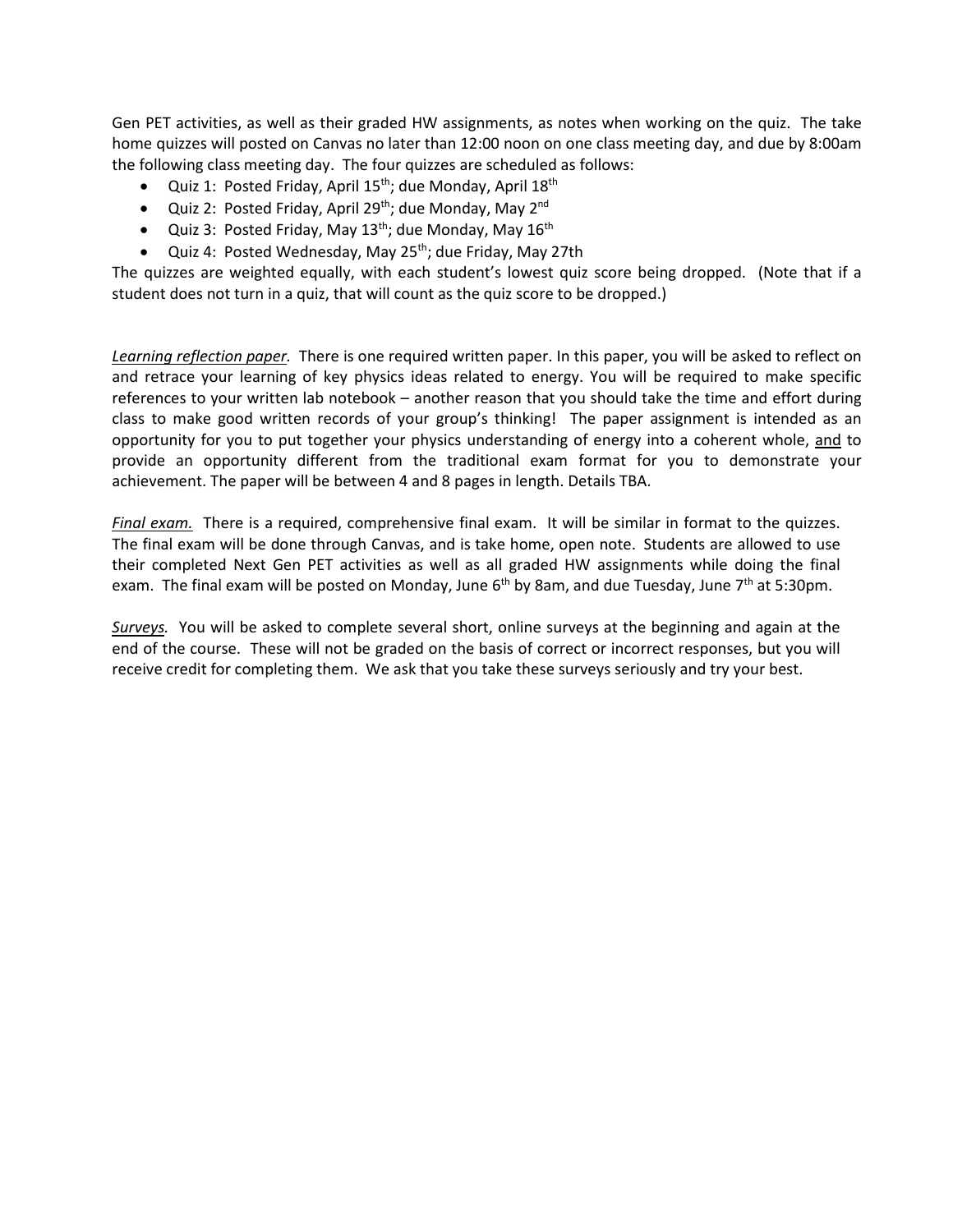Gen PET activities, as well as their graded HW assignments, as notes when working on the quiz. The take home quizzes will posted on Canvas no later than 12:00 noon on one class meeting day, and due by 8:00am the following class meeting day. The four quizzes are scheduled as follows:

- Quiz 1: Posted Friday, April  $15^{th}$ ; due Monday, April  $18^{th}$
- Quiz 2: Posted Friday, April 29<sup>th</sup>; due Monday, May 2<sup>nd</sup>
- Quiz 3: Posted Friday, May  $13^{th}$ ; due Monday, May  $16^{th}$
- Quiz 4: Posted Wednesday, May 25<sup>th</sup>; due Friday, May 27th

The quizzes are weighted equally, with each student's lowest quiz score being dropped. (Note that if a student does not turn in a quiz, that will count as the quiz score to be dropped.)

*Learning reflection paper.* There is one required written paper. In this paper, you will be asked to reflect on and retrace your learning of key physics ideas related to energy. You will be required to make specific references to your written lab notebook – another reason that you should take the time and effort during class to make good written records of your group's thinking! The paper assignment is intended as an opportunity for you to put together your physics understanding of energy into a coherent whole, and to provide an opportunity different from the traditional exam format for you to demonstrate your achievement. The paper will be between 4 and 8 pages in length. Details TBA.

*Final exam.* There is a required, comprehensive final exam. It will be similar in format to the quizzes. The final exam will be done through Canvas, and is take home, open note. Students are allowed to use their completed Next Gen PET activities as well as all graded HW assignments while doing the final exam. The final exam will be posted on Monday, June  $6<sup>th</sup>$  by 8am, and due Tuesday, June 7<sup>th</sup> at 5:30pm.

*Surveys.* You will be asked to complete several short, online surveys at the beginning and again at the end of the course. These will not be graded on the basis of correct or incorrect responses, but you will receive credit for completing them. We ask that you take these surveys seriously and try your best.